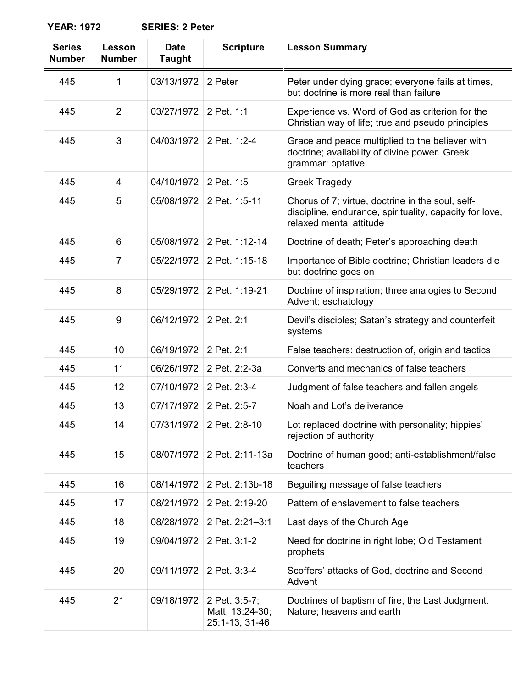**YEAR: 1972 SERIES: 2 Peter**

| <b>Series</b><br><b>Number</b> | Lesson<br><b>Number</b> | <b>Date</b><br><b>Taught</b> | <b>Scripture</b>                                   | <b>Lesson Summary</b>                                                                                                                  |
|--------------------------------|-------------------------|------------------------------|----------------------------------------------------|----------------------------------------------------------------------------------------------------------------------------------------|
| 445                            | $\mathbf 1$             | 03/13/1972                   | 2 Peter                                            | Peter under dying grace; everyone fails at times,<br>but doctrine is more real than failure                                            |
| 445                            | $\overline{2}$          | 03/27/1972                   | 2 Pet. 1:1                                         | Experience vs. Word of God as criterion for the<br>Christian way of life; true and pseudo principles                                   |
| 445                            | 3                       | 04/03/1972                   | 2 Pet. 1:2-4                                       | Grace and peace multiplied to the believer with<br>doctrine; availability of divine power. Greek<br>grammar: optative                  |
| 445                            | 4                       | 04/10/1972                   | 2 Pet. 1:5                                         | <b>Greek Tragedy</b>                                                                                                                   |
| 445                            | 5                       | 05/08/1972                   | 2 Pet. 1:5-11                                      | Chorus of 7; virtue, doctrine in the soul, self-<br>discipline, endurance, spirituality, capacity for love,<br>relaxed mental attitude |
| 445                            | 6                       | 05/08/1972                   | 2 Pet. 1:12-14                                     | Doctrine of death; Peter's approaching death                                                                                           |
| 445                            | 7                       | 05/22/1972                   | 2 Pet. 1:15-18                                     | Importance of Bible doctrine; Christian leaders die<br>but doctrine goes on                                                            |
| 445                            | 8                       | 05/29/1972                   | 2 Pet. 1:19-21                                     | Doctrine of inspiration; three analogies to Second<br>Advent; eschatology                                                              |
| 445                            | 9                       | 06/12/1972                   | 2 Pet. 2:1                                         | Devil's disciples; Satan's strategy and counterfeit<br>systems                                                                         |
| 445                            | 10                      | 06/19/1972                   | 2 Pet. 2:1                                         | False teachers: destruction of, origin and tactics                                                                                     |
| 445                            | 11                      | 06/26/1972                   | 2 Pet. 2:2-3a                                      | Converts and mechanics of false teachers                                                                                               |
| 445                            | 12                      | 07/10/1972                   | 2 Pet. 2:3-4                                       | Judgment of false teachers and fallen angels                                                                                           |
| 445                            | 13                      | 07/17/1972                   | 2 Pet. 2:5-7                                       | Noah and Lot's deliverance                                                                                                             |
| 445                            | 14                      |                              | 07/31/1972 2 Pet. 2:8-10                           | Lot replaced doctrine with personality; hippies'<br>rejection of authority                                                             |
| 445                            | 15                      | 08/07/1972                   | 2 Pet. 2:11-13a                                    | Doctrine of human good; anti-establishment/false<br>teachers                                                                           |
| 445                            | 16                      | 08/14/1972                   | 2 Pet. 2:13b-18                                    | Beguiling message of false teachers                                                                                                    |
| 445                            | 17                      | 08/21/1972                   | 2 Pet. 2:19-20                                     | Pattern of enslavement to false teachers                                                                                               |
| 445                            | 18                      | 08/28/1972                   | 2 Pet. 2:21-3:1                                    | Last days of the Church Age                                                                                                            |
| 445                            | 19                      | 09/04/1972                   | 2 Pet. 3:1-2                                       | Need for doctrine in right lobe; Old Testament<br>prophets                                                                             |
| 445                            | 20                      | 09/11/1972                   | 2 Pet. 3:3-4                                       | Scoffers' attacks of God, doctrine and Second<br>Advent                                                                                |
| 445                            | 21                      | 09/18/1972                   | 2 Pet. 3:5-7;<br>Matt. 13:24-30;<br>25:1-13, 31-46 | Doctrines of baptism of fire, the Last Judgment.<br>Nature; heavens and earth                                                          |